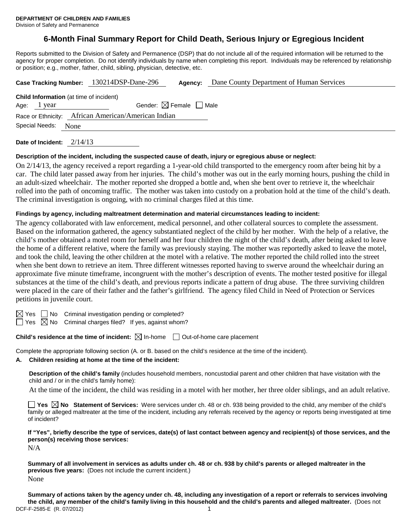Division of Safety and Permanence

# **6-Month Final Summary Report for Child Death, Serious Injury or Egregious Incident**

Reports submitted to the Division of Safety and Permanence (DSP) that do not include all of the required information will be returned to the agency for proper completion. Do not identify individuals by name when completing this report. Individuals may be referenced by relationship or position; e.g., mother, father, child, sibling, physician, detective, etc.

|                | Case Tracking Number: 130214DSP-Dane-296            | Agency:                                | Dane County Department of Human Services |
|----------------|-----------------------------------------------------|----------------------------------------|------------------------------------------|
| Age: 1 year    | <b>Child Information</b> (at time of incident)      | Gender: $\boxtimes$ Female $\Box$ Male |                                          |
|                | Race or Ethnicity: African American/American Indian |                                        |                                          |
| Special Needs: | None                                                |                                        |                                          |
|                |                                                     |                                        |                                          |

**Date of Incident:** 2/14/13

#### **Description of the incident, including the suspected cause of death, injury or egregious abuse or neglect:**

On 2/14/13, the agency received a report regarding a 1-year-old child transported to the emergency room after being hit by a car. The child later passed away from her injuries. The child's mother was out in the early morning hours, pushing the child in an adult-sized wheelchair. The mother reported she dropped a bottle and, when she bent over to retrieve it, the wheelchair rolled into the path of oncoming traffic. The mother was taken into custody on a probation hold at the time of the child's death. The criminal investigation is ongoing, with no criminal charges filed at this time.

#### **Findings by agency, including maltreatment determination and material circumstances leading to incident:**

The agency collaborated with law enforcement, medical personnel, and other collateral sources to complete the assessment. Based on the information gathered, the agency substantiated neglect of the child by her mother. With the help of a relative, the child's mother obtained a motel room for herself and her four children the night of the child's death, after being asked to leave the home of a different relative, where the family was previously staying. The mother was reportedly asked to leave the motel, and took the child, leaving the other children at the motel with a relative. The mother reported the child rolled into the street when she bent down to retrieve an item. Three different witnesses reported having to swerve around the wheelchair during an approximate five minute timeframe, incongruent with the mother's description of events. The mother tested positive for illegal substances at the time of the child's death, and previous reports indicate a pattern of drug abuse. The three surviving children were placed in the care of their father and the father's girlfriend. The agency filed Child in Need of Protection or Services petitions in juvenile court.

 $\boxtimes$  Yes  $\Box$  No Criminal investigation pending or completed?

 $\Box$  Yes  $\boxtimes$  No Criminal charges filed? If yes, against whom?

**Child's residence at the time of incident:**  $\boxtimes$  In-home  $\Box$  Out-of-home care placement

Complete the appropriate following section (A. or B. based on the child's residence at the time of the incident).

#### **A. Children residing at home at the time of the incident:**

**Description of the child's family** (includes household members, noncustodial parent and other children that have visitation with the child and / or in the child's family home):

At the time of the incident, the child was residing in a motel with her mother, her three older siblings, and an adult relative.

**Yes No Statement of Services:** Were services under ch. 48 or ch. 938 being provided to the child, any member of the child's family or alleged maltreater at the time of the incident, including any referrals received by the agency or reports being investigated at time of incident?

**If "Yes", briefly describe the type of services, date(s) of last contact between agency and recipient(s) of those services, and the person(s) receiving those services:**

N/A

**Summary of all involvement in services as adults under ch. 48 or ch. 938 by child's parents or alleged maltreater in the previous five years:** (Does not include the current incident.) None

**Summary of actions taken by the agency under ch. 48, including any investigation of a report or referrals to services involving the child, any member of the child's family living in this household and the child's parents and alleged maltreater.** (Does not DCF-F-2585-E (R. 07/2012) 1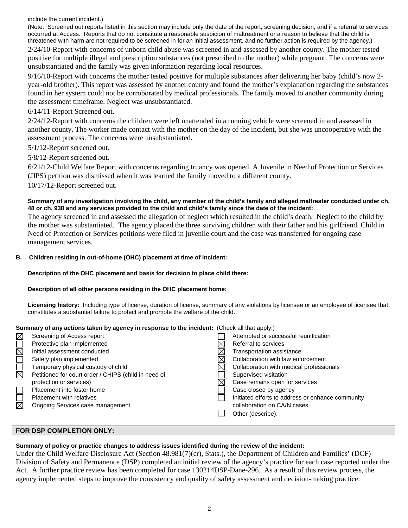include the current incident.)

(Note: Screened out reports listed in this section may include only the date of the report, screening decision, and if a referral to services occurred at Access. Reports that do not constitute a reasonable suspicion of maltreatment or a reason to believe that the child is threatened with harm are not required to be screened in for an initial assessment, and no further action is required by the agency.)

2/24/10-Report with concerns of unborn child abuse was screened in and assessed by another county. The mother tested positive for multiple illegal and prescription substances (not prescribed to the mother) while pregnant. The concerns were unsubstantiated and the family was given information regarding local resources.

9/16/10-Report with concerns the mother tested positive for multiple substances after delivering her baby (child's now 2 year-old brother). This report was assessed by another county and found the mother's explanation regarding the substances found in her system could not be corroborated by medical professionals. The family moved to another community during the assessment timeframe. Neglect was unsubstantiated.

## 6/14/11-Report Screened out.

2/24/12-Report with concerns the children were left unattended in a running vehicle were screened in and assessed in another county. The worker made contact with the mother on the day of the incident, but she was uncooperative with the assessment process. The concerns were unsubstantiated.

5/1/12-Report screened out.

5/8/12-Report screened out.

6/21/12-Child Welfare Report with concerns regarding truancy was opened. A Juvenile in Need of Protection or Services (JIPS) petition was dismissed when it was learned the family moved to a different county.

10/17/12-Report screened out.

#### **Summary of any investigation involving the child, any member of the child's family and alleged maltreater conducted under ch. 48 or ch. 938 and any services provided to the child and child's family since the date of the incident:**

The agency screened in and assessed the allegation of neglect which resulted in the child's death. Neglect to the child by the mother was substantiated. The agency placed the three surviving children with their father and his girlfriend. Child in Need of Protection or Services petitions were filed in juvenile court and the case was transferred for ongoing case management services.

## **B. Children residing in out-of-home (OHC) placement at time of incident:**

## **Description of the OHC placement and basis for decision to place child there:**

## **Description of all other persons residing in the OHC placement home:**

**Licensing history:** Including type of license, duration of license, summary of any violations by licensee or an employee of licensee that constitutes a substantial failure to protect and promote the welfare of the child.

## **Summary of any actions taken by agency in response to the incident:** (Check all that apply.)

| $\boxtimes$ | Screening of Access report                           | Attempted or successful reunification             |
|-------------|------------------------------------------------------|---------------------------------------------------|
|             | Protective plan implemented                          | Referral to services                              |
|             | Initial assessment conducted                         | Transportation assistance                         |
|             | Safety plan implemented                              | Collaboration with law enforcement                |
|             | Temporary physical custody of child                  | Collaboration with medical professionals          |
| $\boxtimes$ | Petitioned for court order / CHIPS (child in need of | Supervised visitation                             |
|             | protection or services)                              | Case remains open for services                    |
|             | Placement into foster home                           | Case closed by agency                             |
|             | Placement with relatives                             | Initiated efforts to address or enhance community |
|             | Ongoing Services case management                     | collaboration on CA/N cases                       |
|             |                                                      | Other (describe):                                 |
|             |                                                      |                                                   |

## **FOR DSP COMPLETION ONLY:**

# **Summary of policy or practice changes to address issues identified during the review of the incident:**

Under the Child Welfare Disclosure Act (Section 48.981(7)(cr), Stats.), the Department of Children and Families' (DCF) Division of Safety and Permanence (DSP) completed an initial review of the agency's practice for each case reported under the Act. A further practice review has been completed for case 130214DSP-Dane-296. As a result of this review process, the agency implemented steps to improve the consistency and quality of safety assessment and decision-making practice.